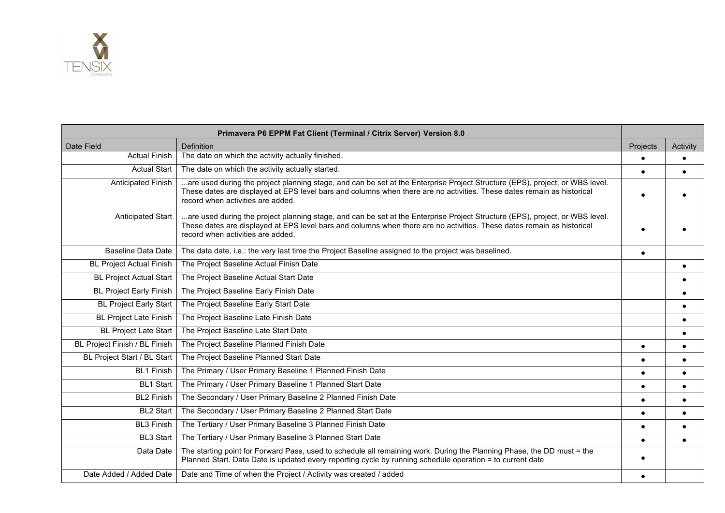

|                                 | Primavera P6 EPPM Fat Client (Terminal / Citrix Server) Version 8.0                                                                                                                                                                                                                         |           |           |
|---------------------------------|---------------------------------------------------------------------------------------------------------------------------------------------------------------------------------------------------------------------------------------------------------------------------------------------|-----------|-----------|
| Date Field                      | Definition                                                                                                                                                                                                                                                                                  | Projects  | Activity  |
| <b>Actual Finish</b>            | The date on which the activity actually finished.                                                                                                                                                                                                                                           |           |           |
| <b>Actual Start</b>             | The date on which the activity actually started.                                                                                                                                                                                                                                            | $\bullet$ | $\bullet$ |
| Anticipated Finish              | are used during the project planning stage, and can be set at the Enterprise Project Structure (EPS), project, or WBS level.<br>These dates are displayed at EPS level bars and columns when there are no activities. These dates remain as historical<br>record when activities are added. |           |           |
| Anticipated Start               | are used during the project planning stage, and can be set at the Enterprise Project Structure (EPS), project, or WBS level.<br>These dates are displayed at EPS level bars and columns when there are no activities. These dates remain as historical<br>record when activities are added. |           |           |
| <b>Baseline Data Date</b>       | The data date, i.e.: the very last time the Project Baseline assigned to the project was baselined.                                                                                                                                                                                         | $\bullet$ |           |
| <b>BL Project Actual Finish</b> | The Project Baseline Actual Finish Date                                                                                                                                                                                                                                                     |           |           |
| <b>BL Project Actual Start</b>  | The Project Baseline Actual Start Date                                                                                                                                                                                                                                                      |           |           |
| <b>BL Project Early Finish</b>  | The Project Baseline Early Finish Date                                                                                                                                                                                                                                                      |           |           |
| <b>BL Project Early Start</b>   | The Project Baseline Early Start Date                                                                                                                                                                                                                                                       |           |           |
| <b>BL Project Late Finish</b>   | The Project Baseline Late Finish Date                                                                                                                                                                                                                                                       |           | $\bullet$ |
| <b>BL Project Late Start</b>    | The Project Baseline Late Start Date                                                                                                                                                                                                                                                        |           | $\bullet$ |
| BL Project Finish / BL Finish   | The Project Baseline Planned Finish Date                                                                                                                                                                                                                                                    | $\bullet$ | $\bullet$ |
| BL Project Start / BL Start     | The Project Baseline Planned Start Date                                                                                                                                                                                                                                                     |           | $\bullet$ |
| <b>BL1 Finish</b>               | The Primary / User Primary Baseline 1 Planned Finish Date                                                                                                                                                                                                                                   | $\bullet$ |           |
| <b>BL1 Start</b>                | The Primary / User Primary Baseline 1 Planned Start Date                                                                                                                                                                                                                                    | $\bullet$ | $\bullet$ |
| <b>BL2 Finish</b>               | The Secondary / User Primary Baseline 2 Planned Finish Date                                                                                                                                                                                                                                 | $\bullet$ | $\bullet$ |
| <b>BL2 Start</b>                | The Secondary / User Primary Baseline 2 Planned Start Date                                                                                                                                                                                                                                  | $\bullet$ | $\bullet$ |
| <b>BL3 Finish</b>               | The Tertiary / User Primary Baseline 3 Planned Finish Date                                                                                                                                                                                                                                  | $\bullet$ |           |
| <b>BL3 Start</b>                | The Tertiary / User Primary Baseline 3 Planned Start Date                                                                                                                                                                                                                                   |           |           |
| Data Date                       | The starting point for Forward Pass, used to schedule all remaining work. During the Planning Phase, the DD must = the<br>Planned Start. Data Date is updated every reporting cycle by running schedule operation = to current date                                                         |           |           |
| Date Added / Added Date         | Date and Time of when the Project / Activity was created / added                                                                                                                                                                                                                            |           |           |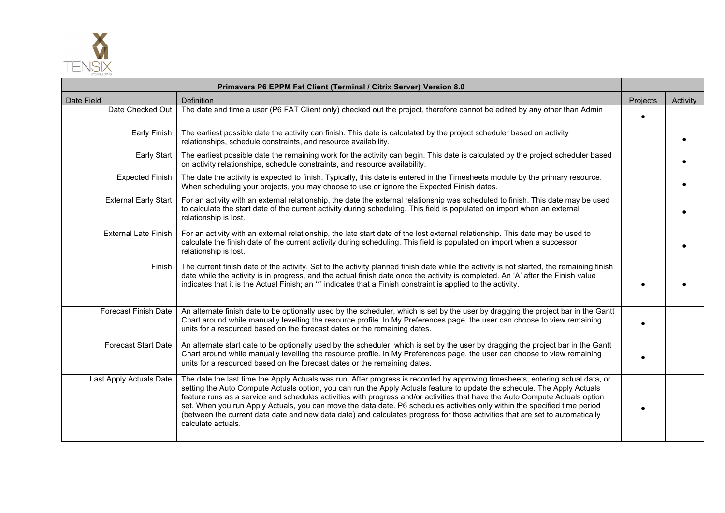

| Primavera P6 EPPM Fat Client (Terminal / Citrix Server) Version 8.0 |                                                                                                                                                                                                                                                                                                                                                                                                                                                                                                                                                                                                                                                                                |                 |                 |
|---------------------------------------------------------------------|--------------------------------------------------------------------------------------------------------------------------------------------------------------------------------------------------------------------------------------------------------------------------------------------------------------------------------------------------------------------------------------------------------------------------------------------------------------------------------------------------------------------------------------------------------------------------------------------------------------------------------------------------------------------------------|-----------------|-----------------|
| Date Field                                                          | Definition                                                                                                                                                                                                                                                                                                                                                                                                                                                                                                                                                                                                                                                                     | <b>Projects</b> | <b>Activity</b> |
| Date Checked Out                                                    | The date and time a user (P6 FAT Client only) checked out the project, therefore cannot be edited by any other than Admin                                                                                                                                                                                                                                                                                                                                                                                                                                                                                                                                                      |                 |                 |
| Early Finish                                                        | The earliest possible date the activity can finish. This date is calculated by the project scheduler based on activity<br>relationships, schedule constraints, and resource availability.                                                                                                                                                                                                                                                                                                                                                                                                                                                                                      |                 |                 |
| Early Start                                                         | The earliest possible date the remaining work for the activity can begin. This date is calculated by the project scheduler based<br>on activity relationships, schedule constraints, and resource availability.                                                                                                                                                                                                                                                                                                                                                                                                                                                                |                 |                 |
| <b>Expected Finish</b>                                              | The date the activity is expected to finish. Typically, this date is entered in the Timesheets module by the primary resource.<br>When scheduling your projects, you may choose to use or ignore the Expected Finish dates.                                                                                                                                                                                                                                                                                                                                                                                                                                                    |                 |                 |
| <b>External Early Start</b>                                         | For an activity with an external relationship, the date the external relationship was scheduled to finish. This date may be used<br>to calculate the start date of the current activity during scheduling. This field is populated on import when an external<br>relationship is lost.                                                                                                                                                                                                                                                                                                                                                                                         |                 |                 |
| External Late Finish                                                | For an activity with an external relationship, the late start date of the lost external relationship. This date may be used to<br>calculate the finish date of the current activity during scheduling. This field is populated on import when a successor<br>relationship is lost.                                                                                                                                                                                                                                                                                                                                                                                             |                 |                 |
| Finish                                                              | The current finish date of the activity. Set to the activity planned finish date while the activity is not started, the remaining finish<br>date while the activity is in progress, and the actual finish date once the activity is completed. An 'A' after the Finish value<br>indicates that it is the Actual Finish; an "" indicates that a Finish constraint is applied to the activity.                                                                                                                                                                                                                                                                                   |                 |                 |
| <b>Forecast Finish Date</b>                                         | An alternate finish date to be optionally used by the scheduler, which is set by the user by dragging the project bar in the Gantt<br>Chart around while manually levelling the resource profile. In My Preferences page, the user can choose to view remaining<br>units for a resourced based on the forecast dates or the remaining dates.                                                                                                                                                                                                                                                                                                                                   |                 |                 |
| <b>Forecast Start Date</b>                                          | An alternate start date to be optionally used by the scheduler, which is set by the user by dragging the project bar in the Gantt<br>Chart around while manually levelling the resource profile. In My Preferences page, the user can choose to view remaining<br>units for a resourced based on the forecast dates or the remaining dates.                                                                                                                                                                                                                                                                                                                                    |                 |                 |
| Last Apply Actuals Date                                             | The date the last time the Apply Actuals was run. After progress is recorded by approving timesheets, entering actual data, or<br>setting the Auto Compute Actuals option, you can run the Apply Actuals feature to update the schedule. The Apply Actuals<br>feature runs as a service and schedules activities with progress and/or activities that have the Auto Compute Actuals option<br>set. When you run Apply Actuals, you can move the data date. P6 schedules activities only within the specified time period<br>(between the current data date and new data date) and calculates progress for those activities that are set to automatically<br>calculate actuals. |                 |                 |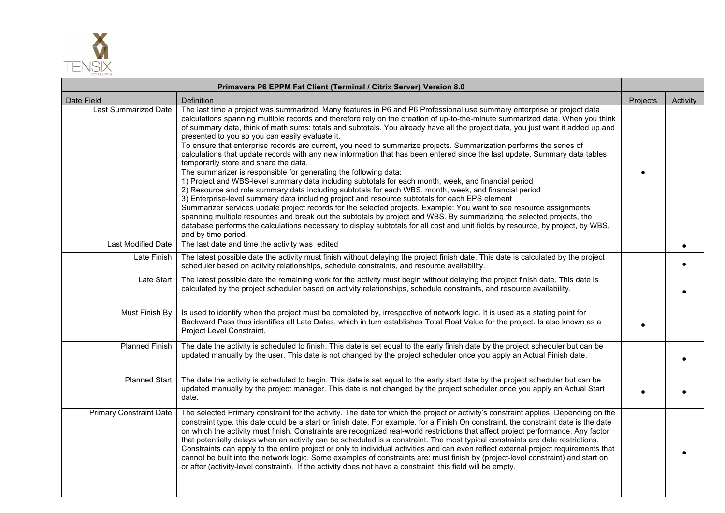

|                                | Primavera P6 EPPM Fat Client (Terminal / Citrix Server) Version 8.0                                                                                                                                                                                                                                                                                                                                                                                                                                                                                                                                                                                                                                                                                                                                                                                                                                                                                                                                                                                                                                                                                                                                                                                                                                                                                                                                                                                                                                                                          |          |          |
|--------------------------------|----------------------------------------------------------------------------------------------------------------------------------------------------------------------------------------------------------------------------------------------------------------------------------------------------------------------------------------------------------------------------------------------------------------------------------------------------------------------------------------------------------------------------------------------------------------------------------------------------------------------------------------------------------------------------------------------------------------------------------------------------------------------------------------------------------------------------------------------------------------------------------------------------------------------------------------------------------------------------------------------------------------------------------------------------------------------------------------------------------------------------------------------------------------------------------------------------------------------------------------------------------------------------------------------------------------------------------------------------------------------------------------------------------------------------------------------------------------------------------------------------------------------------------------------|----------|----------|
| Date Field                     | Definition                                                                                                                                                                                                                                                                                                                                                                                                                                                                                                                                                                                                                                                                                                                                                                                                                                                                                                                                                                                                                                                                                                                                                                                                                                                                                                                                                                                                                                                                                                                                   | Projects | Activity |
| <b>Last Summarized Date</b>    | The last time a project was summarized. Many features in P6 and P6 Professional use summary enterprise or project data<br>calculations spanning multiple records and therefore rely on the creation of up-to-the-minute summarized data. When you think<br>of summary data, think of math sums: totals and subtotals. You already have all the project data, you just want it added up and<br>presented to you so you can easily evaluate it.<br>To ensure that enterprise records are current, you need to summarize projects. Summarization performs the series of<br>calculations that update records with any new information that has been entered since the last update. Summary data tables<br>temporarily store and share the data.<br>The summarizer is responsible for generating the following data:<br>1) Project and WBS-level summary data including subtotals for each month, week, and financial period<br>2) Resource and role summary data including subtotals for each WBS, month, week, and financial period<br>3) Enterprise-level summary data including project and resource subtotals for each EPS element<br>Summarizer services update project records for the selected projects. Example: You want to see resource assignments<br>spanning multiple resources and break out the subtotals by project and WBS. By summarizing the selected projects, the<br>database performs the calculations necessary to display subtotals for all cost and unit fields by resource, by project, by WBS,<br>and by time period. |          |          |
| <b>Last Modified Date</b>      | The last date and time the activity was edited                                                                                                                                                                                                                                                                                                                                                                                                                                                                                                                                                                                                                                                                                                                                                                                                                                                                                                                                                                                                                                                                                                                                                                                                                                                                                                                                                                                                                                                                                               |          |          |
| Late Finish                    | The latest possible date the activity must finish without delaying the project finish date. This date is calculated by the project<br>scheduler based on activity relationships, schedule constraints, and resource availability.                                                                                                                                                                                                                                                                                                                                                                                                                                                                                                                                                                                                                                                                                                                                                                                                                                                                                                                                                                                                                                                                                                                                                                                                                                                                                                            |          |          |
| Late Start                     | The latest possible date the remaining work for the activity must begin without delaying the project finish date. This date is<br>calculated by the project scheduler based on activity relationships, schedule constraints, and resource availability.                                                                                                                                                                                                                                                                                                                                                                                                                                                                                                                                                                                                                                                                                                                                                                                                                                                                                                                                                                                                                                                                                                                                                                                                                                                                                      |          |          |
| Must Finish By                 | Is used to identify when the project must be completed by, irrespective of network logic. It is used as a stating point for<br>Backward Pass thus identifies all Late Dates, which in turn establishes Total Float Value for the project. Is also known as a<br>Project Level Constraint.                                                                                                                                                                                                                                                                                                                                                                                                                                                                                                                                                                                                                                                                                                                                                                                                                                                                                                                                                                                                                                                                                                                                                                                                                                                    |          |          |
| <b>Planned Finish</b>          | The date the activity is scheduled to finish. This date is set equal to the early finish date by the project scheduler but can be<br>updated manually by the user. This date is not changed by the project scheduler once you apply an Actual Finish date.                                                                                                                                                                                                                                                                                                                                                                                                                                                                                                                                                                                                                                                                                                                                                                                                                                                                                                                                                                                                                                                                                                                                                                                                                                                                                   |          |          |
| <b>Planned Start</b>           | The date the activity is scheduled to begin. This date is set equal to the early start date by the project scheduler but can be<br>updated manually by the project manager. This date is not changed by the project scheduler once you apply an Actual Start<br>date.                                                                                                                                                                                                                                                                                                                                                                                                                                                                                                                                                                                                                                                                                                                                                                                                                                                                                                                                                                                                                                                                                                                                                                                                                                                                        |          |          |
| <b>Primary Constraint Date</b> | The selected Primary constraint for the activity. The date for which the project or activity's constraint applies. Depending on the<br>constraint type, this date could be a start or finish date. For example, for a Finish On constraint, the constraint date is the date<br>on which the activity must finish. Constraints are recognized real-world restrictions that affect project performance. Any factor<br>that potentially delays when an activity can be scheduled is a constraint. The most typical constraints are date restrictions.<br>Constraints can apply to the entire project or only to individual activities and can even reflect external project requirements that<br>cannot be built into the network logic. Some examples of constraints are: must finish by (project-level constraint) and start on<br>or after (activity-level constraint). If the activity does not have a constraint, this field will be empty.                                                                                                                                                                                                                                                                                                                                                                                                                                                                                                                                                                                                |          |          |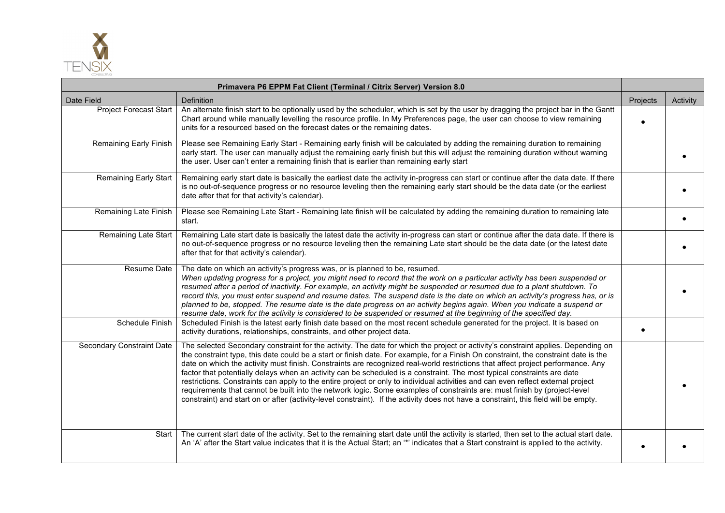

| Primavera P6 EPPM Fat Client (Terminal / Citrix Server) Version 8.0 |                                                                                                                                                                                                                                                                                                                                                                                                                                                                                                                                                                                                                                                                                                                                                                                                                                                                                                                                                 |          |          |
|---------------------------------------------------------------------|-------------------------------------------------------------------------------------------------------------------------------------------------------------------------------------------------------------------------------------------------------------------------------------------------------------------------------------------------------------------------------------------------------------------------------------------------------------------------------------------------------------------------------------------------------------------------------------------------------------------------------------------------------------------------------------------------------------------------------------------------------------------------------------------------------------------------------------------------------------------------------------------------------------------------------------------------|----------|----------|
| Date Field                                                          | Definition                                                                                                                                                                                                                                                                                                                                                                                                                                                                                                                                                                                                                                                                                                                                                                                                                                                                                                                                      | Projects | Activity |
| <b>Project Forecast Start</b>                                       | An alternate finish start to be optionally used by the scheduler, which is set by the user by dragging the project bar in the Gantt<br>Chart around while manually levelling the resource profile. In My Preferences page, the user can choose to view remaining<br>units for a resourced based on the forecast dates or the remaining dates.                                                                                                                                                                                                                                                                                                                                                                                                                                                                                                                                                                                                   |          |          |
| Remaining Early Finish                                              | Please see Remaining Early Start - Remaining early finish will be calculated by adding the remaining duration to remaining<br>early start. The user can manually adjust the remaining early finish but this will adjust the remaining duration without warning<br>the user. User can't enter a remaining finish that is earlier than remaining early start                                                                                                                                                                                                                                                                                                                                                                                                                                                                                                                                                                                      |          |          |
| <b>Remaining Early Start</b>                                        | Remaining early start date is basically the earliest date the activity in-progress can start or continue after the data date. If there<br>is no out-of-sequence progress or no resource leveling then the remaining early start should be the data date (or the earliest<br>date after that for that activity's calendar).                                                                                                                                                                                                                                                                                                                                                                                                                                                                                                                                                                                                                      |          |          |
| Remaining Late Finish                                               | Please see Remaining Late Start - Remaining late finish will be calculated by adding the remaining duration to remaining late<br>start.                                                                                                                                                                                                                                                                                                                                                                                                                                                                                                                                                                                                                                                                                                                                                                                                         |          |          |
| Remaining Late Start                                                | Remaining Late start date is basically the latest date the activity in-progress can start or continue after the data date. If there is<br>no out-of-sequence progress or no resource leveling then the remaining Late start should be the data date (or the latest date<br>after that for that activity's calendar).                                                                                                                                                                                                                                                                                                                                                                                                                                                                                                                                                                                                                            |          |          |
| Resume Date                                                         | The date on which an activity's progress was, or is planned to be, resumed.<br>When updating progress for a project, you might need to record that the work on a particular activity has been suspended or<br>resumed after a period of inactivity. For example, an activity might be suspended or resumed due to a plant shutdown. To<br>record this, you must enter suspend and resume dates. The suspend date is the date on which an activity's progress has, or is<br>planned to be, stopped. The resume date is the date progress on an activity begins again. When you indicate a suspend or<br>resume date, work for the activity is considered to be suspended or resumed at the beginning of the specified day.                                                                                                                                                                                                                       |          |          |
| Schedule Finish                                                     | Scheduled Finish is the latest early finish date based on the most recent schedule generated for the project. It is based on<br>activity durations, relationships, constraints, and other project data.                                                                                                                                                                                                                                                                                                                                                                                                                                                                                                                                                                                                                                                                                                                                         |          |          |
| <b>Secondary Constraint Date</b>                                    | The selected Secondary constraint for the activity. The date for which the project or activity's constraint applies. Depending on<br>the constraint type, this date could be a start or finish date. For example, for a Finish On constraint, the constraint date is the<br>date on which the activity must finish. Constraints are recognized real-world restrictions that affect project performance. Any<br>factor that potentially delays when an activity can be scheduled is a constraint. The most typical constraints are date<br>restrictions. Constraints can apply to the entire project or only to individual activities and can even reflect external project<br>requirements that cannot be built into the network logic. Some examples of constraints are: must finish by (project-level<br>constraint) and start on or after (activity-level constraint). If the activity does not have a constraint, this field will be empty. |          |          |
| Start                                                               | The current start date of the activity. Set to the remaining start date until the activity is started, then set to the actual start date.<br>An 'A' after the Start value indicates that it is the Actual Start; an "*' indicates that a Start constraint is applied to the activity.                                                                                                                                                                                                                                                                                                                                                                                                                                                                                                                                                                                                                                                           |          |          |